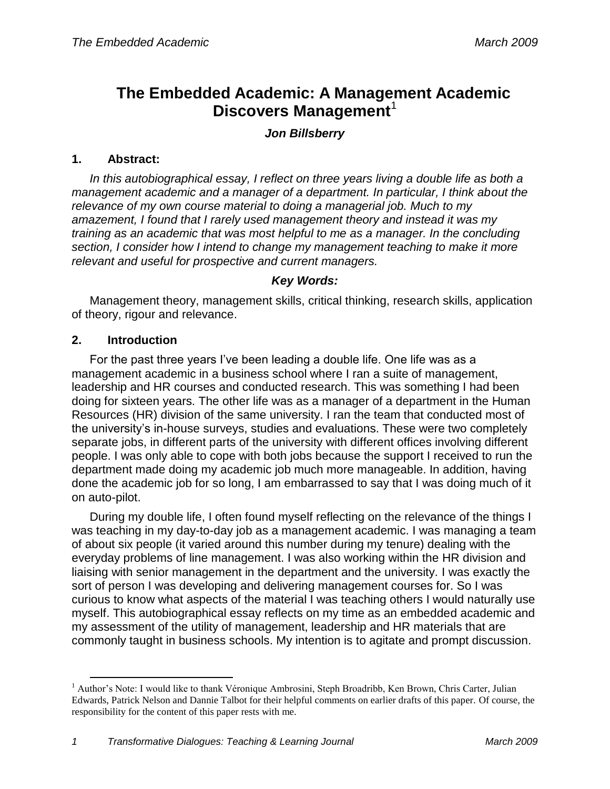# **The Embedded Academic: A Management Academic Discovers Management**<sup>1</sup>

# *Jon Billsberry*

#### **1. Abstract:**

*In this autobiographical essay, I reflect on three years living a double life as both a management academic and a manager of a department. In particular, I think about the relevance of my own course material to doing a managerial job. Much to my amazement, I found that I rarely used management theory and instead it was my training as an academic that was most helpful to me as a manager. In the concluding section, I consider how I intend to change my management teaching to make it more relevant and useful for prospective and current managers.*

#### *Key Words:*

Management theory, management skills, critical thinking, research skills, application of theory, rigour and relevance.

#### **2. Introduction**

 $\overline{a}$ 

For the past three years I"ve been leading a double life. One life was as a management academic in a business school where I ran a suite of management, leadership and HR courses and conducted research. This was something I had been doing for sixteen years. The other life was as a manager of a department in the Human Resources (HR) division of the same university. I ran the team that conducted most of the university"s in-house surveys, studies and evaluations. These were two completely separate jobs, in different parts of the university with different offices involving different people. I was only able to cope with both jobs because the support I received to run the department made doing my academic job much more manageable. In addition, having done the academic job for so long, I am embarrassed to say that I was doing much of it on auto-pilot.

During my double life, I often found myself reflecting on the relevance of the things I was teaching in my day-to-day job as a management academic. I was managing a team of about six people (it varied around this number during my tenure) dealing with the everyday problems of line management. I was also working within the HR division and liaising with senior management in the department and the university. I was exactly the sort of person I was developing and delivering management courses for. So I was curious to know what aspects of the material I was teaching others I would naturally use myself. This autobiographical essay reflects on my time as an embedded academic and my assessment of the utility of management, leadership and HR materials that are commonly taught in business schools. My intention is to agitate and prompt discussion.

<sup>&</sup>lt;sup>1</sup> Author's Note: I would like to thank Véronique Ambrosini, Steph Broadribb, Ken Brown, Chris Carter, Julian Edwards, Patrick Nelson and Dannie Talbot for their helpful comments on earlier drafts of this paper. Of course, the responsibility for the content of this paper rests with me.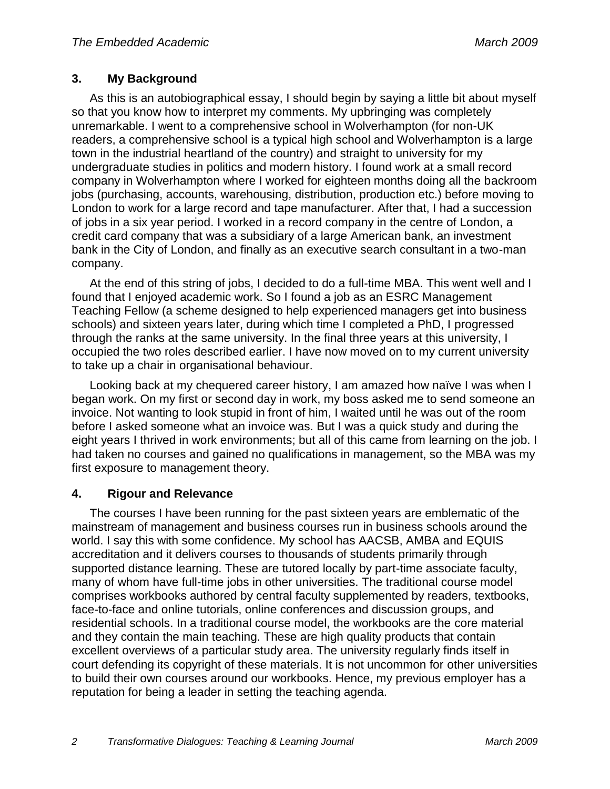# **3. My Background**

As this is an autobiographical essay, I should begin by saying a little bit about myself so that you know how to interpret my comments. My upbringing was completely unremarkable. I went to a comprehensive school in Wolverhampton (for non-UK readers, a comprehensive school is a typical high school and Wolverhampton is a large town in the industrial heartland of the country) and straight to university for my undergraduate studies in politics and modern history. I found work at a small record company in Wolverhampton where I worked for eighteen months doing all the backroom jobs (purchasing, accounts, warehousing, distribution, production etc.) before moving to London to work for a large record and tape manufacturer. After that, I had a succession of jobs in a six year period. I worked in a record company in the centre of London, a credit card company that was a subsidiary of a large American bank, an investment bank in the City of London, and finally as an executive search consultant in a two-man company.

At the end of this string of jobs, I decided to do a full-time MBA. This went well and I found that I enjoyed academic work. So I found a job as an ESRC Management Teaching Fellow (a scheme designed to help experienced managers get into business schools) and sixteen years later, during which time I completed a PhD, I progressed through the ranks at the same university. In the final three years at this university, I occupied the two roles described earlier. I have now moved on to my current university to take up a chair in organisational behaviour.

Looking back at my chequered career history, I am amazed how naïve I was when I began work. On my first or second day in work, my boss asked me to send someone an invoice. Not wanting to look stupid in front of him, I waited until he was out of the room before I asked someone what an invoice was. But I was a quick study and during the eight years I thrived in work environments; but all of this came from learning on the job. I had taken no courses and gained no qualifications in management, so the MBA was my first exposure to management theory.

# **4. Rigour and Relevance**

The courses I have been running for the past sixteen years are emblematic of the mainstream of management and business courses run in business schools around the world. I say this with some confidence. My school has AACSB, AMBA and EQUIS accreditation and it delivers courses to thousands of students primarily through supported distance learning. These are tutored locally by part-time associate faculty, many of whom have full-time jobs in other universities. The traditional course model comprises workbooks authored by central faculty supplemented by readers, textbooks, face-to-face and online tutorials, online conferences and discussion groups, and residential schools. In a traditional course model, the workbooks are the core material and they contain the main teaching. These are high quality products that contain excellent overviews of a particular study area. The university regularly finds itself in court defending its copyright of these materials. It is not uncommon for other universities to build their own courses around our workbooks. Hence, my previous employer has a reputation for being a leader in setting the teaching agenda.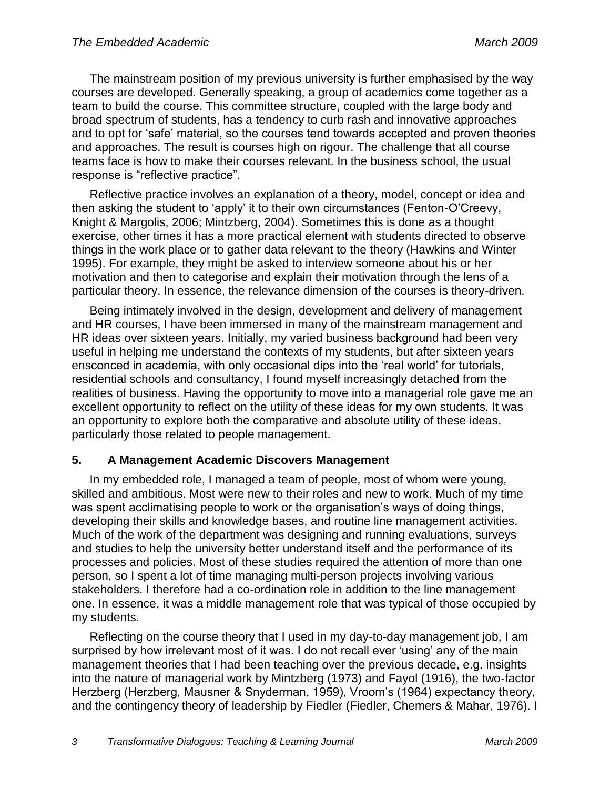The mainstream position of my previous university is further emphasised by the way courses are developed. Generally speaking, a group of academics come together as a team to build the course. This committee structure, coupled with the large body and broad spectrum of students, has a tendency to curb rash and innovative approaches and to opt for "safe" material, so the courses tend towards accepted and proven theories and approaches. The result is courses high on rigour. The challenge that all course teams face is how to make their courses relevant. In the business school, the usual response is "reflective practice".

Reflective practice involves an explanation of a theory, model, concept or idea and then asking the student to "apply" it to their own circumstances (Fenton-O"Creevy, Knight & Margolis, 2006; Mintzberg, 2004). Sometimes this is done as a thought exercise, other times it has a more practical element with students directed to observe things in the work place or to gather data relevant to the theory (Hawkins and Winter 1995). For example, they might be asked to interview someone about his or her motivation and then to categorise and explain their motivation through the lens of a particular theory. In essence, the relevance dimension of the courses is theory-driven.

Being intimately involved in the design, development and delivery of management and HR courses, I have been immersed in many of the mainstream management and HR ideas over sixteen years. Initially, my varied business background had been very useful in helping me understand the contexts of my students, but after sixteen years ensconced in academia, with only occasional dips into the "real world" for tutorials, residential schools and consultancy, I found myself increasingly detached from the realities of business. Having the opportunity to move into a managerial role gave me an excellent opportunity to reflect on the utility of these ideas for my own students. It was an opportunity to explore both the comparative and absolute utility of these ideas, particularly those related to people management.

# **5. A Management Academic Discovers Management**

In my embedded role, I managed a team of people, most of whom were young, skilled and ambitious. Most were new to their roles and new to work. Much of my time was spent acclimatising people to work or the organisation's ways of doing things, developing their skills and knowledge bases, and routine line management activities. Much of the work of the department was designing and running evaluations, surveys and studies to help the university better understand itself and the performance of its processes and policies. Most of these studies required the attention of more than one person, so I spent a lot of time managing multi-person projects involving various stakeholders. I therefore had a co-ordination role in addition to the line management one. In essence, it was a middle management role that was typical of those occupied by my students.

Reflecting on the course theory that I used in my day-to-day management job, I am surprised by how irrelevant most of it was. I do not recall ever "using" any of the main management theories that I had been teaching over the previous decade, e.g. insights into the nature of managerial work by Mintzberg (1973) and Fayol (1916), the two-factor Herzberg (Herzberg, Mausner & Snyderman, 1959), Vroom"s (1964) expectancy theory, and the contingency theory of leadership by Fiedler (Fiedler, Chemers & Mahar, 1976). I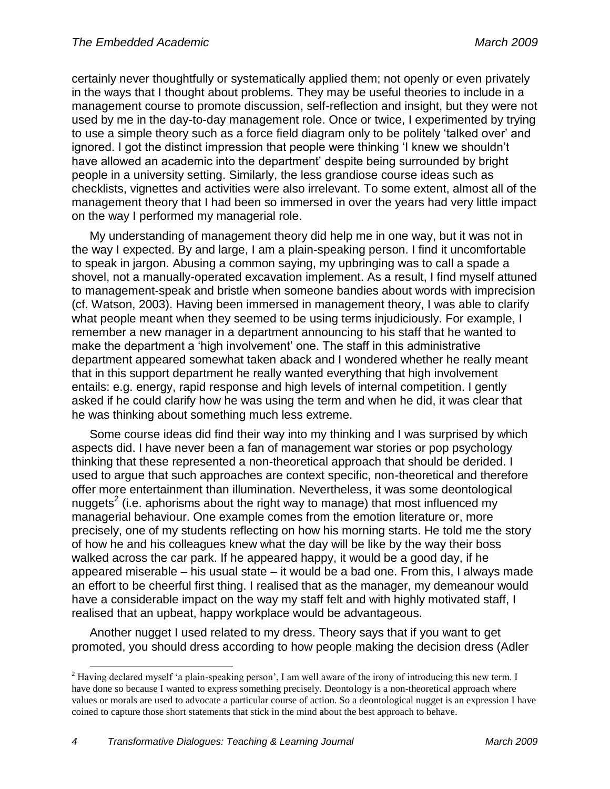certainly never thoughtfully or systematically applied them; not openly or even privately in the ways that I thought about problems. They may be useful theories to include in a management course to promote discussion, self-reflection and insight, but they were not used by me in the day-to-day management role. Once or twice, I experimented by trying to use a simple theory such as a force field diagram only to be politely "talked over" and ignored. I got the distinct impression that people were thinking "I knew we shouldn"t have allowed an academic into the department" despite being surrounded by bright people in a university setting. Similarly, the less grandiose course ideas such as checklists, vignettes and activities were also irrelevant. To some extent, almost all of the management theory that I had been so immersed in over the years had very little impact on the way I performed my managerial role.

My understanding of management theory did help me in one way, but it was not in the way I expected. By and large, I am a plain-speaking person. I find it uncomfortable to speak in jargon. Abusing a common saying, my upbringing was to call a spade a shovel, not a manually-operated excavation implement. As a result, I find myself attuned to management-speak and bristle when someone bandies about words with imprecision (cf. Watson, 2003). Having been immersed in management theory, I was able to clarify what people meant when they seemed to be using terms injudiciously. For example, I remember a new manager in a department announcing to his staff that he wanted to make the department a "high involvement" one. The staff in this administrative department appeared somewhat taken aback and I wondered whether he really meant that in this support department he really wanted everything that high involvement entails: e.g. energy, rapid response and high levels of internal competition. I gently asked if he could clarify how he was using the term and when he did, it was clear that he was thinking about something much less extreme.

Some course ideas did find their way into my thinking and I was surprised by which aspects did. I have never been a fan of management war stories or pop psychology thinking that these represented a non-theoretical approach that should be derided. I used to argue that such approaches are context specific, non-theoretical and therefore offer more entertainment than illumination. Nevertheless, it was some deontological nuggets<sup>2</sup> (i.e. aphorisms about the right way to manage) that most influenced my managerial behaviour. One example comes from the emotion literature or, more precisely, one of my students reflecting on how his morning starts. He told me the story of how he and his colleagues knew what the day will be like by the way their boss walked across the car park. If he appeared happy, it would be a good day, if he appeared miserable – his usual state – it would be a bad one. From this, I always made an effort to be cheerful first thing. I realised that as the manager, my demeanour would have a considerable impact on the way my staff felt and with highly motivated staff, I realised that an upbeat, happy workplace would be advantageous.

Another nugget I used related to my dress. Theory says that if you want to get promoted, you should dress according to how people making the decision dress (Adler

 $\overline{a}$ 

<sup>&</sup>lt;sup>2</sup> Having declared myself 'a plain-speaking person', I am well aware of the irony of introducing this new term. I have done so because I wanted to express something precisely. Deontology is a non-theoretical approach where values or morals are used to advocate a particular course of action. So a deontological nugget is an expression I have coined to capture those short statements that stick in the mind about the best approach to behave.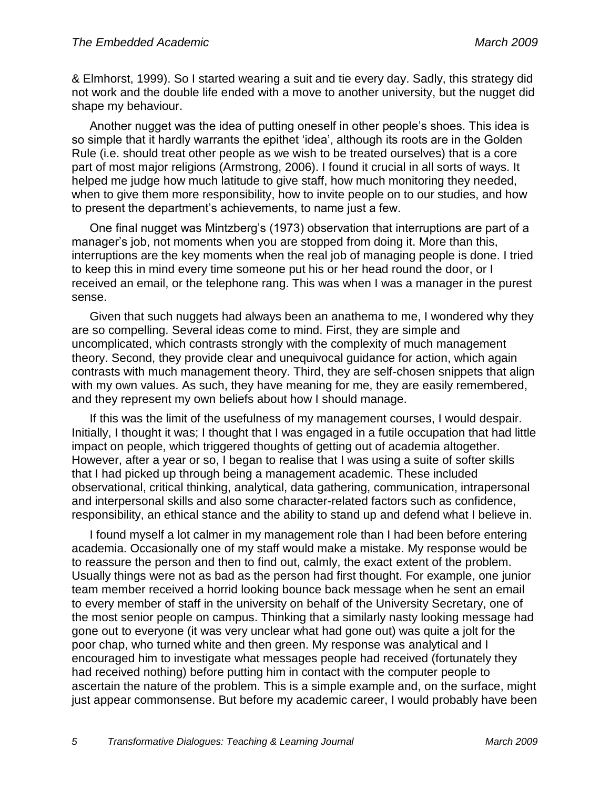& Elmhorst, 1999). So I started wearing a suit and tie every day. Sadly, this strategy did not work and the double life ended with a move to another university, but the nugget did shape my behaviour.

Another nugget was the idea of putting oneself in other people"s shoes. This idea is so simple that it hardly warrants the epithet 'idea', although its roots are in the Golden Rule (i.e. should treat other people as we wish to be treated ourselves) that is a core part of most major religions (Armstrong, 2006). I found it crucial in all sorts of ways. It helped me judge how much latitude to give staff, how much monitoring they needed, when to give them more responsibility, how to invite people on to our studies, and how to present the department"s achievements, to name just a few.

One final nugget was Mintzberg"s (1973) observation that interruptions are part of a manager's job, not moments when you are stopped from doing it. More than this, interruptions are the key moments when the real job of managing people is done. I tried to keep this in mind every time someone put his or her head round the door, or I received an email, or the telephone rang. This was when I was a manager in the purest sense.

Given that such nuggets had always been an anathema to me, I wondered why they are so compelling. Several ideas come to mind. First, they are simple and uncomplicated, which contrasts strongly with the complexity of much management theory. Second, they provide clear and unequivocal guidance for action, which again contrasts with much management theory. Third, they are self-chosen snippets that align with my own values. As such, they have meaning for me, they are easily remembered, and they represent my own beliefs about how I should manage.

If this was the limit of the usefulness of my management courses, I would despair. Initially, I thought it was; I thought that I was engaged in a futile occupation that had little impact on people, which triggered thoughts of getting out of academia altogether. However, after a year or so, I began to realise that I was using a suite of softer skills that I had picked up through being a management academic. These included observational, critical thinking, analytical, data gathering, communication, intrapersonal and interpersonal skills and also some character-related factors such as confidence, responsibility, an ethical stance and the ability to stand up and defend what I believe in.

I found myself a lot calmer in my management role than I had been before entering academia. Occasionally one of my staff would make a mistake. My response would be to reassure the person and then to find out, calmly, the exact extent of the problem. Usually things were not as bad as the person had first thought. For example, one junior team member received a horrid looking bounce back message when he sent an email to every member of staff in the university on behalf of the University Secretary, one of the most senior people on campus. Thinking that a similarly nasty looking message had gone out to everyone (it was very unclear what had gone out) was quite a jolt for the poor chap, who turned white and then green. My response was analytical and I encouraged him to investigate what messages people had received (fortunately they had received nothing) before putting him in contact with the computer people to ascertain the nature of the problem. This is a simple example and, on the surface, might just appear commonsense. But before my academic career, I would probably have been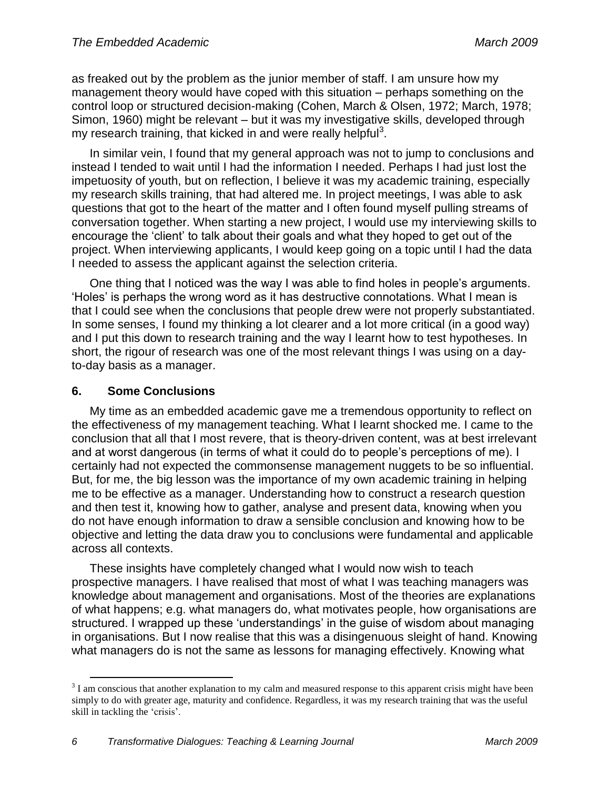as freaked out by the problem as the junior member of staff. I am unsure how my management theory would have coped with this situation – perhaps something on the control loop or structured decision-making (Cohen, March & Olsen, 1972; March, 1978; Simon, 1960) might be relevant – but it was my investigative skills, developed through my research training, that kicked in and were really helpful<sup>3</sup>.

In similar vein, I found that my general approach was not to jump to conclusions and instead I tended to wait until I had the information I needed. Perhaps I had just lost the impetuosity of youth, but on reflection, I believe it was my academic training, especially my research skills training, that had altered me. In project meetings, I was able to ask questions that got to the heart of the matter and I often found myself pulling streams of conversation together. When starting a new project, I would use my interviewing skills to encourage the "client" to talk about their goals and what they hoped to get out of the project. When interviewing applicants, I would keep going on a topic until I had the data I needed to assess the applicant against the selection criteria.

One thing that I noticed was the way I was able to find holes in people"s arguments. "Holes" is perhaps the wrong word as it has destructive connotations. What I mean is that I could see when the conclusions that people drew were not properly substantiated. In some senses, I found my thinking a lot clearer and a lot more critical (in a good way) and I put this down to research training and the way I learnt how to test hypotheses. In short, the rigour of research was one of the most relevant things I was using on a dayto-day basis as a manager.

# **6. Some Conclusions**

 $\overline{a}$ 

My time as an embedded academic gave me a tremendous opportunity to reflect on the effectiveness of my management teaching. What I learnt shocked me. I came to the conclusion that all that I most revere, that is theory-driven content, was at best irrelevant and at worst dangerous (in terms of what it could do to people"s perceptions of me). I certainly had not expected the commonsense management nuggets to be so influential. But, for me, the big lesson was the importance of my own academic training in helping me to be effective as a manager. Understanding how to construct a research question and then test it, knowing how to gather, analyse and present data, knowing when you do not have enough information to draw a sensible conclusion and knowing how to be objective and letting the data draw you to conclusions were fundamental and applicable across all contexts.

These insights have completely changed what I would now wish to teach prospective managers. I have realised that most of what I was teaching managers was knowledge about management and organisations. Most of the theories are explanations of what happens; e.g. what managers do, what motivates people, how organisations are structured. I wrapped up these "understandings" in the guise of wisdom about managing in organisations. But I now realise that this was a disingenuous sleight of hand. Knowing what managers do is not the same as lessons for managing effectively. Knowing what

 $3<sup>3</sup>$  I am conscious that another explanation to my calm and measured response to this apparent crisis might have been simply to do with greater age, maturity and confidence. Regardless, it was my research training that was the useful skill in tackling the 'crisis'.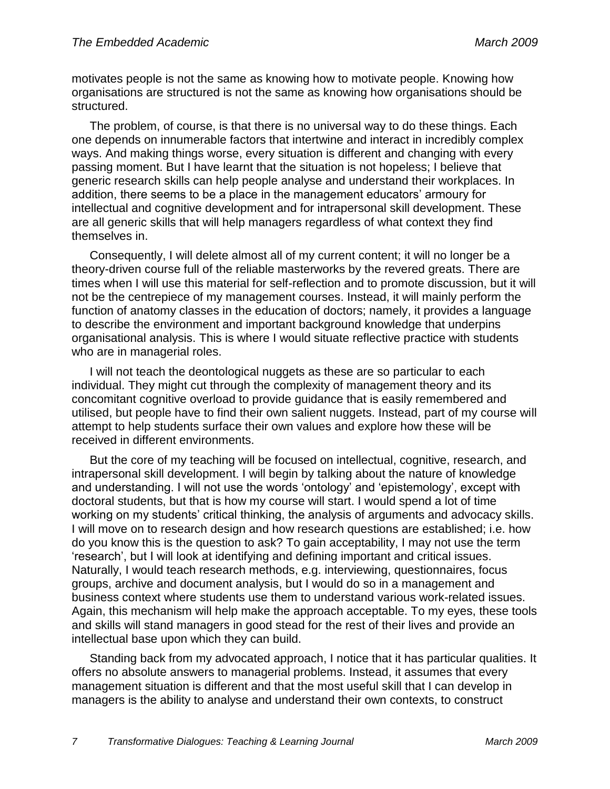motivates people is not the same as knowing how to motivate people. Knowing how organisations are structured is not the same as knowing how organisations should be structured.

The problem, of course, is that there is no universal way to do these things. Each one depends on innumerable factors that intertwine and interact in incredibly complex ways. And making things worse, every situation is different and changing with every passing moment. But I have learnt that the situation is not hopeless; I believe that generic research skills can help people analyse and understand their workplaces. In addition, there seems to be a place in the management educators' armoury for intellectual and cognitive development and for intrapersonal skill development. These are all generic skills that will help managers regardless of what context they find themselves in.

Consequently, I will delete almost all of my current content; it will no longer be a theory-driven course full of the reliable masterworks by the revered greats. There are times when I will use this material for self-reflection and to promote discussion, but it will not be the centrepiece of my management courses. Instead, it will mainly perform the function of anatomy classes in the education of doctors; namely, it provides a language to describe the environment and important background knowledge that underpins organisational analysis. This is where I would situate reflective practice with students who are in managerial roles.

I will not teach the deontological nuggets as these are so particular to each individual. They might cut through the complexity of management theory and its concomitant cognitive overload to provide guidance that is easily remembered and utilised, but people have to find their own salient nuggets. Instead, part of my course will attempt to help students surface their own values and explore how these will be received in different environments.

But the core of my teaching will be focused on intellectual, cognitive, research, and intrapersonal skill development. I will begin by talking about the nature of knowledge and understanding. I will not use the words "ontology" and "epistemology", except with doctoral students, but that is how my course will start. I would spend a lot of time working on my students' critical thinking, the analysis of arguments and advocacy skills. I will move on to research design and how research questions are established; i.e. how do you know this is the question to ask? To gain acceptability, I may not use the term "research", but I will look at identifying and defining important and critical issues. Naturally, I would teach research methods, e.g. interviewing, questionnaires, focus groups, archive and document analysis, but I would do so in a management and business context where students use them to understand various work-related issues. Again, this mechanism will help make the approach acceptable. To my eyes, these tools and skills will stand managers in good stead for the rest of their lives and provide an intellectual base upon which they can build.

Standing back from my advocated approach, I notice that it has particular qualities. It offers no absolute answers to managerial problems. Instead, it assumes that every management situation is different and that the most useful skill that I can develop in managers is the ability to analyse and understand their own contexts, to construct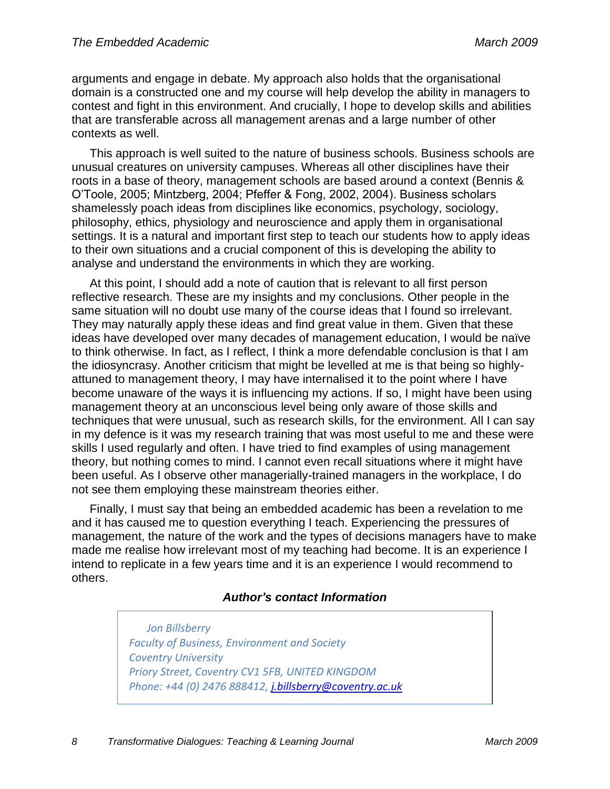arguments and engage in debate. My approach also holds that the organisational domain is a constructed one and my course will help develop the ability in managers to contest and fight in this environment. And crucially, I hope to develop skills and abilities that are transferable across all management arenas and a large number of other contexts as well.

This approach is well suited to the nature of business schools. Business schools are unusual creatures on university campuses. Whereas all other disciplines have their roots in a base of theory, management schools are based around a context (Bennis & O"Toole, 2005; Mintzberg, 2004; Pfeffer & Fong, 2002, 2004). Business scholars shamelessly poach ideas from disciplines like economics, psychology, sociology, philosophy, ethics, physiology and neuroscience and apply them in organisational settings. It is a natural and important first step to teach our students how to apply ideas to their own situations and a crucial component of this is developing the ability to analyse and understand the environments in which they are working.

At this point, I should add a note of caution that is relevant to all first person reflective research. These are my insights and my conclusions. Other people in the same situation will no doubt use many of the course ideas that I found so irrelevant. They may naturally apply these ideas and find great value in them. Given that these ideas have developed over many decades of management education, I would be naïve to think otherwise. In fact, as I reflect, I think a more defendable conclusion is that I am the idiosyncrasy. Another criticism that might be levelled at me is that being so highlyattuned to management theory, I may have internalised it to the point where I have become unaware of the ways it is influencing my actions. If so, I might have been using management theory at an unconscious level being only aware of those skills and techniques that were unusual, such as research skills, for the environment. All I can say in my defence is it was my research training that was most useful to me and these were skills I used regularly and often. I have tried to find examples of using management theory, but nothing comes to mind. I cannot even recall situations where it might have been useful. As I observe other managerially-trained managers in the workplace, I do not see them employing these mainstream theories either.

Finally, I must say that being an embedded academic has been a revelation to me and it has caused me to question everything I teach. Experiencing the pressures of management, the nature of the work and the types of decisions managers have to make made me realise how irrelevant most of my teaching had become. It is an experience I intend to replicate in a few years time and it is an experience I would recommend to others.

#### *Author's contact Information*

*Jon Billsberry Faculty of Business, Environment and Society Coventry University Priory Street, Coventry CV1 5FB, UNITED KINGDOM Phone: +44 (0) 2476 888412, [j.billsberry@coventry.ac.uk](mailto:j.billsberry@coventry.ac.uk)*